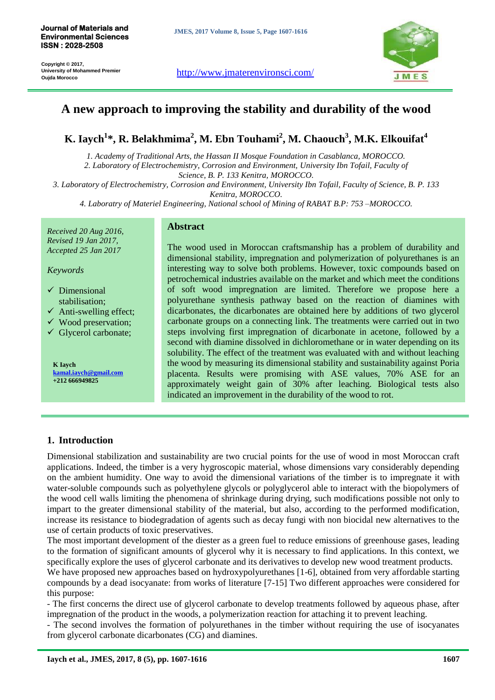**Copyright © 2017, University of Mohammed Premier Oujda Morocco <http://www.jmaterenvironsci.com/>**<br>Oujda Morocco





# **A new approach to improving the stability and durability of the wood**

# **K. Iaych<sup>1</sup> \*, R. Belakhmima<sup>2</sup> , M. Ebn Touhami<sup>2</sup> , M. Chaouch<sup>3</sup> , M.K. Elkouifat<sup>4</sup>**

*1. Academy of Traditional Arts, the Hassan II Mosque Foundation in Casablanca, MOROCCO. 2. Laboratory of Electrochemistry, Corrosion and Environment, University Ibn Tofail, Faculty of Science, B. P. 133 Kenitra, MOROCCO.*

*3. Laboratory of Electrochemistry, Corrosion and Environment, University Ibn Tofail, Faculty of Science, B. P. 133* 

*Kenitra, MOROCCO.*

*4. Laboratry of Materiel Engineering, National school of Mining of RABAT B.P: 753 –MOROCCO.*

*Received 20 Aug 2016, Revised 19 Jan 2017, Accepted 25 Jan 2017*

*Keywords*

- $\checkmark$  Dimensional stabilisation;
- $\checkmark$  Anti-swelling effect;
- $\checkmark$  Wood preservation;
- $\checkmark$  Glycerol carbonate;

**K Iaych kamal.iaych@gmail.com +212 666949825**

#### **Abstract**

The wood used in Moroccan craftsmanship has a problem of durability and dimensional stability, impregnation and polymerization of polyurethanes is an interesting way to solve both problems. However, toxic compounds based on petrochemical industries available on the market and which meet the conditions of soft wood impregnation are limited. Therefore we propose here a polyurethane synthesis pathway based on the reaction of diamines with dicarbonates, the dicarbonates are obtained here by additions of two glycerol carbonate groups on a connecting link. The treatments were carried out in two steps involving first impregnation of dicarbonate in acetone, followed by a second with diamine dissolved in dichloromethane or in water depending on its solubility. The effect of the treatment was evaluated with and without leaching the wood by measuring its dimensional stability and sustainability against Poria placenta. Results were promising with ASE values, 70% ASE for an approximately weight gain of 30% after leaching. Biological tests also indicated an improvement in the durability of the wood to rot.

# **1. Introduction**

Dimensional stabilization and sustainability are two crucial points for the use of wood in most Moroccan craft applications. Indeed, the timber is a very hygroscopic material, whose dimensions vary considerably depending on the ambient humidity. One way to avoid the dimensional variations of the timber is to impregnate it with water-soluble compounds such as polyethylene glycols or polyglycerol able to interact with the biopolymers of the wood cell walls limiting the phenomena of shrinkage during drying, such modifications possible not only to impart to the greater dimensional stability of the material, but also, according to the performed modification, increase its resistance to biodegradation of agents such as decay fungi with non biocidal new alternatives to the use of certain products of toxic preservatives.

The most important development of the diester as a green fuel to reduce emissions of greenhouse gases, leading to the formation of significant amounts of glycerol why it is necessary to find applications. In this context, we specifically explore the uses of glycerol carbonate and its derivatives to develop new wood treatment products.

We have proposed new approaches based on hydroxypolyurethanes [1-6], obtained from very affordable starting compounds by a dead isocyanate: from works of literature [7-15] Two different approaches were considered for this purpose:

- The first concerns the direct use of glycerol carbonate to develop treatments followed by aqueous phase, after impregnation of the product in the woods, a polymerization reaction for attaching it to prevent leaching.

- The second involves the formation of polyurethanes in the timber without requiring the use of isocyanates from glycerol carbonate dicarbonates (CG) and diamines.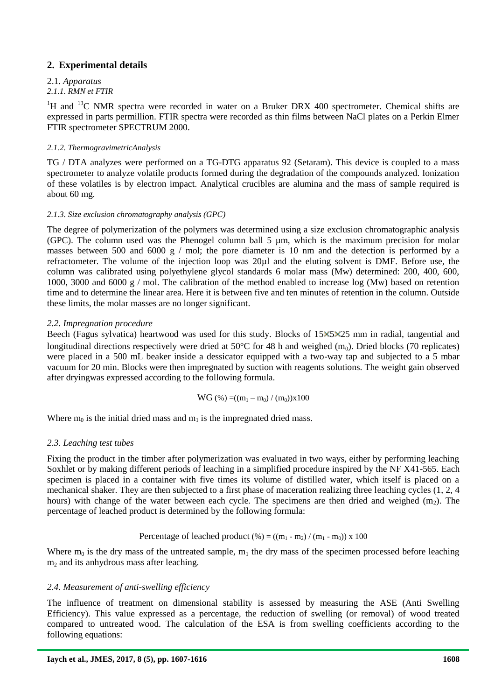# **2. Experimental details**

# 2.1*. Apparatus*

# *2.1.1. RMN et FTIR*

 $1_H$  and  $13_C$  NMR spectra were recorded in water on a Bruker DRX 400 spectrometer. Chemical shifts are expressed in parts permillion. FTIR spectra were recorded as thin films between NaCl plates on a Perkin Elmer FTIR spectrometer SPECTRUM 2000.

## *2.1.2. ThermogravimetricAnalysis*

TG / DTA analyzes were performed on a TG-DTG apparatus 92 (Setaram). This device is coupled to a mass spectrometer to analyze volatile products formed during the degradation of the compounds analyzed. Ionization of these volatiles is by electron impact. Analytical crucibles are alumina and the mass of sample required is about 60 mg.

## *2.1.3. Size exclusion chromatography analysis (GPC)*

The degree of polymerization of the polymers was determined using a size exclusion chromatographic analysis (GPC). The column used was the Phenogel column ball 5 µm, which is the maximum precision for molar masses between 500 and 6000 g / mol; the pore diameter is 10 nm and the detection is performed by a refractometer. The volume of the injection loop was 20µl and the eluting solvent is DMF. Before use, the column was calibrated using polyethylene glycol standards 6 molar mass (Mw) determined: 200, 400, 600, 1000, 3000 and 6000 g / mol. The calibration of the method enabled to increase log (Mw) based on retention time and to determine the linear area. Here it is between five and ten minutes of retention in the column. Outside these limits, the molar masses are no longer significant.

## *2.2. Impregnation procedure*

Beech (Fagus sylvatica) heartwood was used for this study. Blocks of 15×5×25 mm in radial, tangential and longitudinal directions respectively were dried at 50 $^{\circ}$ C for 48 h and weighed (m<sub>0</sub>). Dried blocks (70 replicates) were placed in a 500 mL beaker inside a dessicator equipped with a two-way tap and subjected to a 5 mbar vacuum for 20 min. Blocks were then impregnated by suction with reagents solutions. The weight gain observed after dryingwas expressed according to the following formula.

$$
WG\;(\%)\;{=}\;(m_1-m_0)\;/\;(m_0))x100
$$

Where  $m_0$  is the initial dried mass and  $m_1$  is the impregnated dried mass.

## *2.3. Leaching test tubes*

Fixing the product in the timber after polymerization was evaluated in two ways, either by performing leaching Soxhlet or by making different periods of leaching in a simplified procedure inspired by the NF X41-565. Each specimen is placed in a container with five times its volume of distilled water, which itself is placed on a mechanical shaker. They are then subjected to a first phase of maceration realizing three leaching cycles (1, 2, 4 hours) with change of the water between each cycle. The specimens are then dried and weighed  $(m_2)$ . The percentage of leached product is determined by the following formula:

## Percentage of leached product  $(\% ) = ((m_1 - m_2) / (m_1 - m_0)) \times 100$

Where  $m_0$  is the dry mass of the untreated sample,  $m_1$  the dry mass of the specimen processed before leaching  $m<sub>2</sub>$  and its anhydrous mass after leaching.

## *2.4. Measurement of anti-swelling efficiency*

The influence of treatment on dimensional stability is assessed by measuring the ASE (Anti Swelling Efficiency). This value expressed as a percentage, the reduction of swelling (or removal) of wood treated compared to untreated wood. The calculation of the ESA is from swelling coefficients according to the following equations: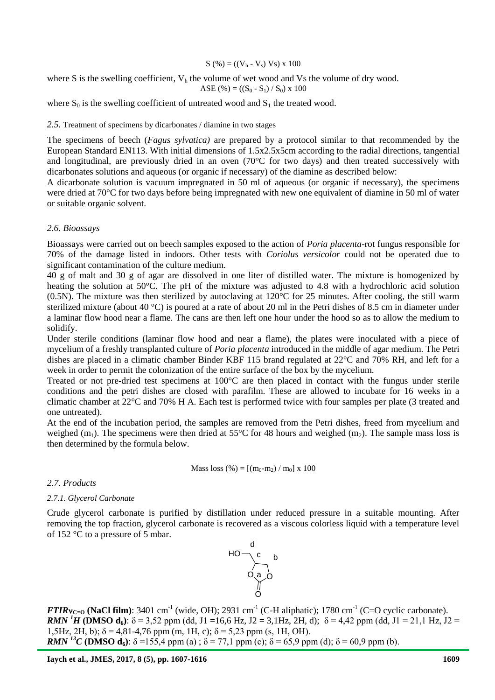$$
S(%) = ((V_h - V_s) Vs) x 100
$$

where S is the swelling coefficient,  $V<sub>h</sub>$  the volume of wet wood and Vs the volume of dry wood.

$$
ASE(%) = ((S_0 - S_1) / S_0) \times 100
$$

where  $S_0$  is the swelling coefficient of untreated wood and  $S_1$  the treated wood.

#### *2.5.* Treatment of specimens by dicarbonates / diamine in two stages

The specimens of beech (*Fagus sylvatica)* are prepared by a protocol similar to that recommended by the European Standard EN113. With initial dimensions of 1.5x2.5x5cm according to the radial directions, tangential and longitudinal, are previously dried in an oven  $(70^{\circ}C)$  for two days) and then treated successively with dicarbonates solutions and aqueous (or organic if necessary) of the diamine as described below:

A dicarbonate solution is vacuum impregnated in 50 ml of aqueous (or organic if necessary), the specimens were dried at 70°C for two days before being impregnated with new one equivalent of diamine in 50 ml of water or suitable organic solvent.

#### *2.6. Bioassays*

Bioassays were carried out on beech samples exposed to the action of *Poria placenta*-rot fungus responsible for 70% of the damage listed in indoors. Other tests with *Coriolus versicolor* could not be operated due to significant contamination of the culture medium.

40 g of malt and 30 g of agar are dissolved in one liter of distilled water. The mixture is homogenized by heating the solution at 50°C. The pH of the mixture was adjusted to 4.8 with a hydrochloric acid solution (0.5N). The mixture was then sterilized by autoclaving at 120°C for 25 minutes. After cooling, the still warm sterilized mixture (about 40 °C) is poured at a rate of about 20 ml in the Petri dishes of 8.5 cm in diameter under a laminar flow hood near a flame. The cans are then left one hour under the hood so as to allow the medium to solidify.

Under sterile conditions (laminar flow hood and near a flame), the plates were inoculated with a piece of mycelium of a freshly transplanted culture of *Poria placenta* introduced in the middle of agar medium. The Petri dishes are placed in a climatic chamber Binder KBF 115 brand regulated at 22°C and 70% RH, and left for a week in order to permit the colonization of the entire surface of the box by the mycelium.

Treated or not pre-dried test specimens at 100°C are then placed in contact with the fungus under sterile conditions and the petri dishes are closed with parafilm. These are allowed to incubate for 16 weeks in a climatic chamber at 22°C and 70% H A. Each test is performed twice with four samples per plate (3 treated and one untreated).

At the end of the incubation period, the samples are removed from the Petri dishes, freed from mycelium and weighed  $(m_1)$ . The specimens were then dried at 55°C for 48 hours and weighed  $(m_2)$ . The sample mass loss is then determined by the formula below.

Mass loss (
$$
\%
$$
) = [(m<sub>0</sub>-m<sub>2</sub>) / m<sub>0</sub>] x 100

*2.7. Products*

#### *2.7.1. Glycerol Carbonate*

Crude glycerol carbonate is purified by distillation under reduced pressure in a suitable mounting. After removing the top fraction, glycerol carbonate is recovered as a viscous colorless liquid with a temperature level of 152 °C to a pressure of 5 mbar.



 $FTIRv_{C=0}$  (NaCl film): 3401 cm<sup>-1</sup> (wide, OH); 2931 cm<sup>-1</sup> (C-H aliphatic); 1780 cm<sup>-1</sup> (C=O cyclic carbonate). *RMN* <sup>*1*</sup>**H** (**DMSO d**<sub>6</sub>):  $\delta$  = 3,52 ppm (dd, J1 =16,6 Hz, J2 = 3,1Hz, 2H, d);  $\delta$  = 4,42 ppm (dd, J1 = 21,1 Hz, J2 = 1,5Hz, 2H, b);  $\delta$  = 4,81-4,76 ppm (m, 1H, c);  $\delta$  = 5,23 ppm (s, 1H, OH). *RMN* <sup>13</sup>**C** (**DMSO d**<sub>6</sub>): δ =155,4 ppm (a) ; δ = 77,1 ppm (c); δ = 65,9 ppm (d); δ = 60,9 ppm (b).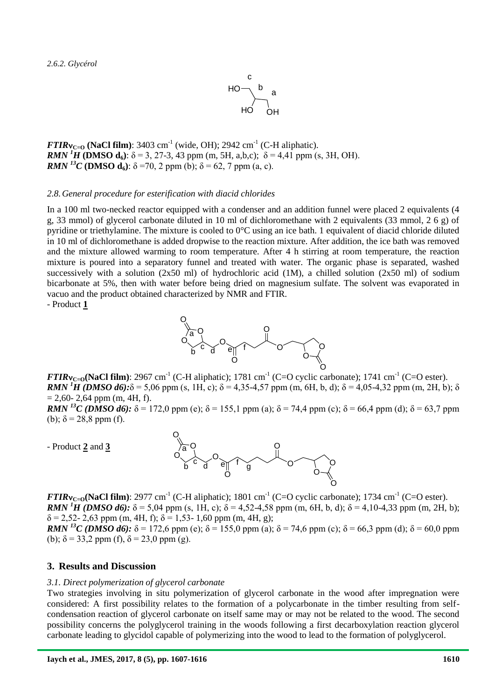*2.6.2. Glycérol*



 $\textbf{FTIRv}_{\text{C=0}}$  (NaCl film): 3403 cm<sup>-1</sup> (wide, OH); 2942 cm<sup>-1</sup> (C-H aliphatic). *RMN* <sup>*1*</sup>**H** (**DMSO d**<sub>6</sub>):  $\delta$  = 3, 27-3, 43 ppm (m, 5H, a,b,c);  $\delta$  = 4,41 ppm (s, 3H, OH). *RMN* <sup>*13*</sup>*C* (**DMSO d**<sub>6</sub>):  $\delta$  =70, 2 ppm (b);  $\delta$  = 62, 7 ppm (a, c).

#### *2.8.General procedure for esterification with diacid chlorides*

In a 100 ml two-necked reactor equipped with a condenser and an addition funnel were placed 2 equivalents (4 g, 33 mmol) of glycerol carbonate diluted in 10 ml of dichloromethane with 2 equivalents (33 mmol, 2 6 g) of pyridine or triethylamine. The mixture is cooled to 0°C using an ice bath. 1 equivalent of diacid chloride diluted in 10 ml of dichloromethane is added dropwise to the reaction mixture. After addition, the ice bath was removed and the mixture allowed warming to room temperature. After 4 h stirring at room temperature, the reaction mixture is poured into a separatory funnel and treated with water. The organic phase is separated, washed successively with a solution  $(2x50 \text{ ml})$  of hydrochloric acid  $(1M)$ , a chilled solution  $(2x50 \text{ ml})$  of sodium bicarbonate at 5%, then with water before being dried on magnesium sulfate. The solvent was evaporated in vacuo and the product obtained characterized by NMR and FTIR.

- Product **1**



 $FTIRv_{C=0}$ (NaCl film): 2967 cm<sup>-1</sup> (C-H aliphatic); 1781 cm<sup>-1</sup> (C=O cyclic carbonate); 1741 cm<sup>-1</sup> (C=O ester). *RMN* <sup>*1*</sup>*H* (*DMSO d6*): $\delta$  = 5,06 ppm (s, 1H, c);  $\delta$  = 4,35-4,57 ppm (m, 6H, b, d);  $\delta$  = 4,05-4,32 ppm (m, 2H, b); δ  $= 2.60 - 2.64$  ppm (m, 4H, f).

*RMN* <sup>13</sup>*C* (*DMSO d6*): δ = 172.0 ppm (e); δ = 155.1 ppm (a); δ = 74.4 ppm (c); δ = 66.4 ppm (d); δ = 63.7 ppm (b);  $\delta = 28.8$  ppm (f).

- Product **2** and **3**



 $FTIRv_{C=0}$ (NaCl film): 2977 cm<sup>-1</sup> (C-H aliphatic); 1801 cm<sup>-1</sup> (C=O cyclic carbonate); 1734 cm<sup>-1</sup> (C=O ester). *RMN* <sup>*1*</sup>*H* (*DMSO d6*): δ = 5,04 ppm (s, 1H, c); δ = 4,52-4,58 ppm (m, 6H, b, d); δ = 4,10-4,33 ppm (m, 2H, b);  $\delta$  = 2,52- 2,63 ppm (m, 4H, f);  $\delta$  = 1,53- 1,60 ppm (m, 4H, g);

*RMN* <sup>13</sup>*C* (*DMSO d6*): δ = 172,6 ppm (e); δ = 155,0 ppm (a); δ = 74,6 ppm (c); δ = 66,3 ppm (d); δ = 60,0 ppm (b);  $\delta = 33.2$  ppm (f),  $\delta = 23.0$  ppm (g).

#### **3. Results and Discussion**

#### *3.1. Direct polymerization of glycerol carbonate*

Two strategies involving in situ polymerization of glycerol carbonate in the wood after impregnation were considered: A first possibility relates to the formation of a polycarbonate in the timber resulting from selfcondensation reaction of glycerol carbonate on itself same may or may not be related to the wood. The second possibility concerns the polyglycerol training in the woods following a first decarboxylation reaction glycerol carbonate leading to glycidol capable of polymerizing into the wood to lead to the formation of polyglycerol.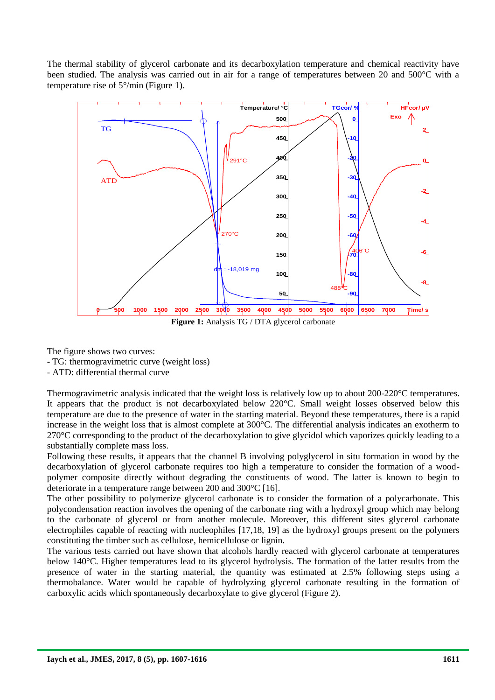The thermal stability of glycerol carbonate and its decarboxylation temperature and chemical reactivity have been studied. The analysis was carried out in air for a range of temperatures between 20 and 500°C with a temperature rise of  $5^{\circ}/\text{min}$  (Figure 1). died. The state of the state of the state of the state of the state of the state of the state of the state of the state of the state of the state of the state of the state of the state of the state of the state of the stat



The figure shows two curves:

- TG: thermogravimetric curve (weight loss)

- ATD: differential thermal curve

Thermogravimetric analysis indicated that the weight loss is relatively low up to about 200-220°C temperatures. It appears that the product is not decarboxylated below 220°C. Small weight losses observed below this temperature are due to the presence of water in the starting material. Beyond these temperatures, there is a rapid increase in the weight loss that is almost complete at 300°C. The differential analysis indicates an exotherm to 270°C corresponding to the product of the decarboxylation to give glycidol which vaporizes quickly leading to a substantially complete mass loss.

Following these results, it appears that the channel B involving polyglycerol in situ formation in wood by the decarboxylation of glycerol carbonate requires too high a temperature to consider the formation of a woodpolymer composite directly without degrading the constituents of wood. The latter is known to begin to deteriorate in a temperature range between 200 and 300°C [16].

The other possibility to polymerize glycerol carbonate is to consider the formation of a polycarbonate. This polycondensation reaction involves the opening of the carbonate ring with a hydroxyl group which may belong to the carbonate of glycerol or from another molecule. Moreover, this different sites glycerol carbonate electrophiles capable of reacting with nucleophiles [17,18, 19] as the hydroxyl groups present on the polymers constituting the timber such as cellulose, hemicellulose or lignin.

The various tests carried out have shown that alcohols hardly reacted with glycerol carbonate at temperatures below 140°C. Higher temperatures lead to its glycerol hydrolysis. The formation of the latter results from the presence of water in the starting material, the quantity was estimated at 2.5% following steps using a thermobalance. Water would be capable of hydrolyzing glycerol carbonate resulting in the formation of carboxylic acids which spontaneously decarboxylate to give glycerol (Figure 2).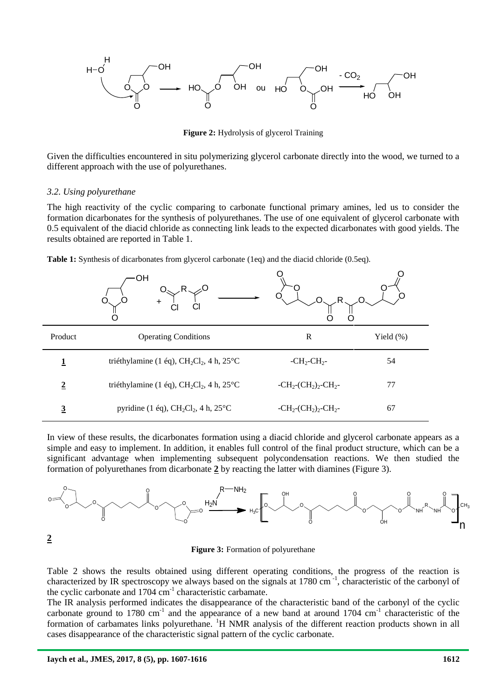

**Figure 2:** Hydrolysis of glycerol Training

Given the difficulties encountered in situ polymerizing glycerol carbonate directly into the wood, we turned to a different approach with the use of polyurethanes.

#### *3.2. Using polyurethane*

The high reactivity of the cyclic comparing to carbonate functional primary amines, led us to consider the formation dicarbonates for the synthesis of polyurethanes. The use of one equivalent of glycerol carbonate with 0.5 equivalent of the diacid chloride as connecting link leads to the expected dicarbonates with good yields. The results obtained are reported in Table 1.

**Table 1:** Synthesis of dicarbonates from glycerol carbonate (1eq) and the diacid chloride (0.5eq).

|                         | OН<br>$\ddot{}$                                   |                                            |              |
|-------------------------|---------------------------------------------------|--------------------------------------------|--------------|
| Product                 | <b>Operating Conditions</b>                       | $\mathbb{R}$                               | Yield $(\%)$ |
|                         | triéthylamine (1 éq), $CH_2Cl_2$ , 4 h, 25°C      | $-CH_2-CH_2-$                              | 54           |
| $\overline{2}$          | triéthylamine (1 éq), $CH_2Cl_2$ , 4 h, 25°C      | $-CH_2$ - $CH_2$ ) <sub>2</sub> - $CH_2$ - | 77           |
| $\overline{\mathbf{3}}$ | pyridine (1 éq), $CH_2Cl_2$ , 4 h, $25^{\circ}$ C | $-CH_2$ - $CH_2$ ) <sub>2</sub> - $CH_2$ - | 67           |

In view of these results, the dicarbonates formation using a diacid chloride and glycerol carbonate appears as a simple and easy to implement. In addition, it enables full control of the final product structure, which can be a significant advantage when implementing subsequent polycondensation reactions. We then studied the formation of polyurethanes from dicarbonate **2** by reacting the latter with diamines (Figure 3).

![](_page_5_Figure_8.jpeg)

**Figure 3:** Formation of polyurethane

Table 2 shows the results obtained using different operating conditions, the progress of the reaction is characterized by IR spectroscopy we always based on the signals at  $1780 \text{ cm}^{-1}$ , characteristic of the carbonyl of the cyclic carbonate and 1704 cm<sup>-1</sup> characteristic carbamate.

The IR analysis performed indicates the disappearance of the characteristic band of the carbonyl of the cyclic carbonate ground to 1780 cm<sup>-1</sup> and the appearance of a new band at around 1704 cm<sup>-1</sup> characteristic of the formation of carbamates links polyurethane. <sup>1</sup>H NMR analysis of the different reaction products shown in all cases disappearance of the characteristic signal pattern of the cyclic carbonate.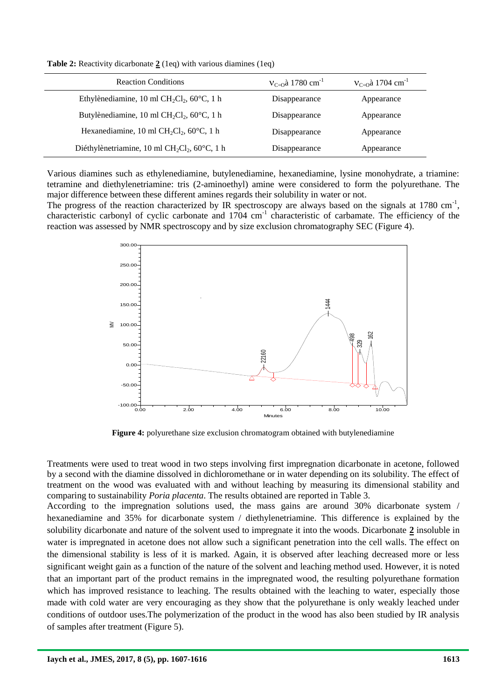**Table 2:** Reactivity dicarbonate 2 (1eq) with various diamines (1eq)

| <b>Reaction Conditions</b>                           | $V_{C=0}$ à 1780 cm <sup>-1</sup> | $V_{C=0}$ à 1704 cm <sup>-1</sup> |
|------------------------------------------------------|-----------------------------------|-----------------------------------|
| Ethylènediamine, 10 ml $CH_2Cl_2$ , 60 $°C$ , 1 h    | Disappearance                     | Appearance                        |
| Butylènediamine, 10 ml $CH_2Cl_2$ , 60 $°C$ , 1 h    | Disappearance                     | Appearance                        |
| Hexanediamine, 10 ml $CH_2Cl_2$ , 60 $°C$ , 1 h      | Disappearance                     | Appearance                        |
| Diéthylènetriamine, 10 ml $CH_2Cl_2$ , 60 $°C$ , 1 h | Disappearance                     | Appearance                        |

Various diamines such as ethylenediamine, butylenediamine, hexanediamine, lysine monohydrate, a triamine: tetramine and diethylenetriamine: tris (2-aminoethyl) amine were considered to form the polyurethane. The major difference between these different amines regards their solubility in water or not.

The progress of the reaction characterized by IR spectroscopy are always based on the signals at  $1780 \text{ cm}^{-1}$ , characteristic carbonyl of cyclic carbonate and 1704 cm<sup>-1</sup> characteristic of carbamate. The efficiency of the reaction was assessed by NMR spectroscopy and by size exclusion chromatography SEC (Figure 4).

![](_page_6_Figure_4.jpeg)

**Figure 4:** polyurethane size exclusion chromatogram obtained with butylenediamine

Treatments were used to treat wood in two steps involving first impregnation dicarbonate in acetone, followed by a second with the diamine dissolved in dichloromethane or in water depending on its solubility. The effect of treatment on the wood was evaluated with and without leaching by measuring its dimensional stability and comparing to sustainability *Poria placenta*. The results obtained are reported in Table 3.

According to the impregnation solutions used, the mass gains are around 30% dicarbonate system / hexanediamine and 35% for dicarbonate system / diethylenetriamine. This difference is explained by the solubility dicarbonate and nature of the solvent used to impregnate it into the woods. Dicarbonate **2** insoluble in water is impregnated in acetone does not allow such a significant penetration into the cell walls. The effect on the dimensional stability is less of it is marked. Again, it is observed after leaching decreased more or less significant weight gain as a function of the nature of the solvent and leaching method used. However, it is noted that an important part of the product remains in the impregnated wood, the resulting polyurethane formation which has improved resistance to leaching. The results obtained with the leaching to water, especially those made with cold water are very encouraging as they show that the polyurethane is only weakly leached under conditions of outdoor uses.The polymerization of the product in the wood has also been studied by IR analysis of samples after treatment (Figure 5).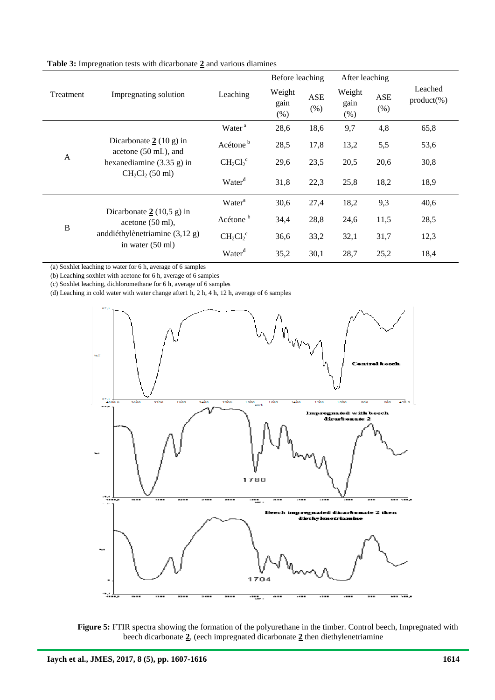| Treatment    | Impregnating solution                                                                                                   | Leaching             |                        | Before leaching    |                        | After leaching |                           |
|--------------|-------------------------------------------------------------------------------------------------------------------------|----------------------|------------------------|--------------------|------------------------|----------------|---------------------------|
|              |                                                                                                                         |                      | Weight<br>gain<br>(% ) | <b>ASE</b><br>(% ) | Weight<br>gain<br>(% ) | ASE<br>(% )    | Leached<br>$product(\% )$ |
| A            | Dicarbonate $2(10 \text{ g})$ in<br>acetone (50 mL), and<br>hexanediamine $(3.35 \text{ g})$ in<br>$CH2Cl2$ (50 ml)     | Water <sup>a</sup>   | 28,6                   | 18,6               | 9,7                    | 4,8            | 65,8                      |
|              |                                                                                                                         | Acétone <sup>b</sup> | 28,5                   | 17,8               | 13,2                   | 5,5            | 53,6                      |
|              |                                                                                                                         | $CH_2Cl_2^c$         | 29,6                   | 23,5               | 20,5                   | 20,6           | 30,8                      |
|              |                                                                                                                         | Water <sup>d</sup>   | 31,8                   | 22,3               | 25,8                   | 18,2           | 18,9                      |
| $\, {\bf B}$ | Dicarbonate $2(10,5 \text{ g})$ in<br>acetone $(50 \text{ ml})$ ,<br>anddiéthylènetriamine (3,12 g)<br>in water (50 ml) | Water <sup>a</sup>   | 30,6                   | 27,4               | 18,2                   | 9,3            | 40,6                      |
|              |                                                                                                                         | Acétone <sup>b</sup> | 34,4                   | 28,8               | 24,6                   | 11,5           | 28,5                      |
|              |                                                                                                                         | $CH_2Cl_2^c$         | 36,6                   | 33,2               | 32,1                   | 31,7           | 12,3                      |
|              |                                                                                                                         | Water <sup>d</sup>   | 35,2                   | 30,1               | 28,7                   | 25,2           | 18,4                      |

**Table 3:** Impregnation tests with dicarbonate **2** and various diamines

(a) Soxhlet leaching to water for 6 h, average of 6 samples

(b) Leaching soxhlet with acetone for 6 h, average of 6 samples

(c) Soxhlet leaching, dichloromethane for 6 h, average of 6 samples

(d) Leaching in cold water with water change after1 h, 2 h, 4 h, 12 h, average of 6 samples

![](_page_7_Figure_6.jpeg)

![](_page_7_Figure_7.jpeg)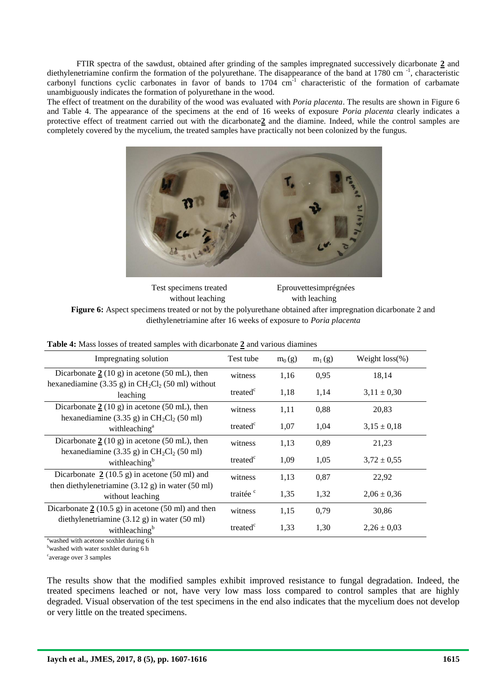FTIR spectra of the sawdust, obtained after grinding of the samples impregnated successively dicarbonate **2** and diethylenetriamine confirm the formation of the polyurethane. The disappearance of the band at 1780 cm<sup>-1</sup>, characteristic carbonyl functions cyclic carbonates in favor of bands to  $1704 \text{ cm}^{-1}$  characteristic of the formation of carbamate unambiguously indicates the formation of polyurethane in the wood.

The effect of treatment on the durability of the wood was evaluated with *Poria placenta*. The results are shown in Figure 6 and Table 4. The appearance of the specimens at the end of 16 weeks of exposure *Poria placenta* clearly indicates a protective effect of treatment carried out with the dicarbonate**2** and the diamine. Indeed, while the control samples are completely covered by the mycelium, the treated samples have practically not been colonized by the fungus.

![](_page_8_Picture_2.jpeg)

| Test specimens treated | Eprouvettesimprégnées |
|------------------------|-----------------------|
| without leaching       | with leaching         |

**Figure 6:** Aspect specimens treated or not by the polyurethane obtained after impregnation dicarbonate 2 and diethylenetriamine after 16 weeks of exposure to *Poria placenta*

| Impregnating solution                                                                                    | Test tube            | $m_0(g)$ | $m_1(g)$ | Weight $loss$ %) |
|----------------------------------------------------------------------------------------------------------|----------------------|----------|----------|------------------|
| Dicarbonate $2(10 \text{ g})$ in acetone (50 mL), then                                                   | witness              | 1,16     | 0,95     | 18,14            |
| hexanediamine (3.35 g) in $CH2Cl2$ (50 ml) without<br>leaching                                           | treated <sup>c</sup> | 1,18     | 1,14     | $3,11 \pm 0,30$  |
| Dicarbonate $2(10 \text{ g})$ in acetone (50 mL), then                                                   | witness              | 1,11     | 0,88     | 20,83            |
| hexanediamine $(3.35 \text{ g})$ in CH <sub>2</sub> Cl <sub>2</sub> (50 ml)<br>withleaching <sup>a</sup> | treated <sup>c</sup> | 1,07     | 1,04     | $3.15 \pm 0.18$  |
| Dicarbonate $2(10 \text{ g})$ in acetone (50 mL), then                                                   | witness              | 1,13     | 0,89     | 21,23            |
| hexanediamine $(3.35 \text{ g})$ in CH <sub>2</sub> Cl <sub>2</sub> (50 ml)<br>withleaching <sup>b</sup> | treated <sup>c</sup> | 1,09     | 1,05     | $3,72 \pm 0,55$  |
| Dicarbonate $2(10.5 \text{ g})$ in acetone (50 ml) and                                                   | witness              | 1,13     | 0,87     | 22,92            |
| then diethylenetriamine $(3.12 \text{ g})$ in water $(50 \text{ ml})$<br>without leaching                | traitée <sup>c</sup> | 1,35     | 1,32     | $2.06 \pm 0.36$  |
| Dicarbonate $2(10.5 \text{ g})$ in acetone (50 ml) and then                                              | witness              | 1,15     | 0,79     | 30,86            |
| diethylenetriamine $(3.12 \text{ g})$ in water $(50 \text{ ml})$<br>withleaching <sup>b</sup>            | treated <sup>c</sup> | 1,33     | 1,30     | $2,26 \pm 0.03$  |
| <b>Contract Contract Contract Contract</b><br>11.1.                                                      |                      |          |          |                  |

**Table 4:** Mass losses of treated samples with dicarbonate **2** and various diamines

washed with acetone soxhlet during 6 h

 $<sup>b</sup>$ washed with water soxhlet during 6 h</sup>

<sup>c</sup>average over 3 samples

The results show that the modified samples exhibit improved resistance to fungal degradation. Indeed, the treated specimens leached or not, have very low mass loss compared to control samples that are highly degraded. Visual observation of the test specimens in the end also indicates that the mycelium does not develop or very little on the treated specimens.